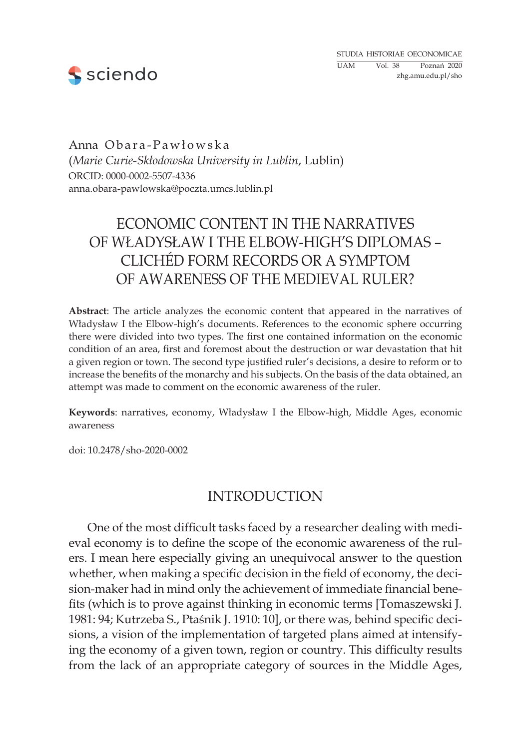

Anna Obara-Pawłowska (*Marie Curie-Skłodowska University in Lublin*, Lublin) ORCID: 0000-0002-5507-4336 anna.obara-pawlowska@poczta.umcs.lublin.pl

# Economic Content in the Narratives of Władysław I the Elbow-high's Diplomas – Clichéd Form Records or a Symptom of Awareness of the Medieval Ruler?

**Abstract**: The article analyzes the economic content that appeared in the narratives of Władysław I the Elbow-high's documents. References to the economic sphere occurring there were divided into two types. The first one contained information on the economic condition of an area, first and foremost about the destruction or war devastation that hit a given region or town. The second type justified ruler's decisions, a desire to reform or to increase the benefits of the monarchy and his subjects. On the basis of the data obtained, an attempt was made to comment on the economic awareness of the ruler.

**Keywords**: narratives, economy, Władysław I the Elbow-high, Middle Ages, economic awareness

doi: 10.2478/sho-2020-0002

## **INTRODUCTION**

One of the most difficult tasks faced by a researcher dealing with medieval economy is to define the scope of the economic awareness of the rulers. I mean here especially giving an unequivocal answer to the question whether, when making a specific decision in the field of economy, the decision-maker had in mind only the achievement of immediate financial benefits (which is to prove against thinking in economic terms [Tomaszewski J. 1981: 94; Kutrzeba S., Ptaśnik J. 1910: 10], or there was, behind specific decisions, a vision of the implementation of targeted plans aimed at intensifying the economy of a given town, region or country. This difficulty results from the lack of an appropriate category of sources in the Middle Ages,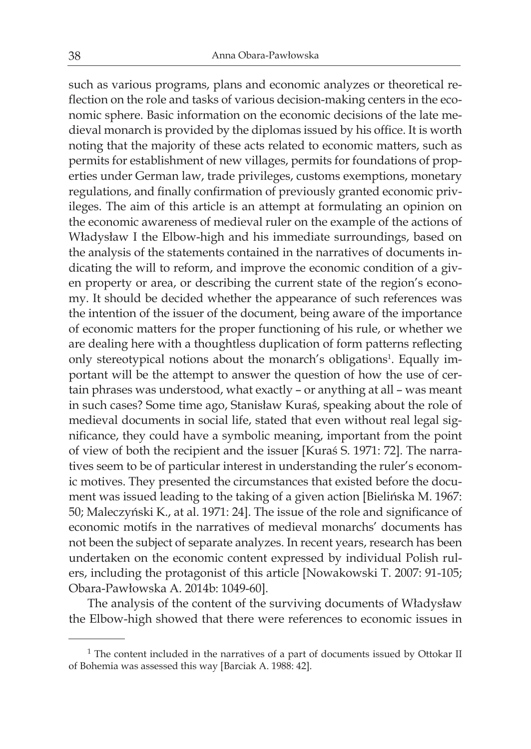such as various programs, plans and economic analyzes or theoretical reflection on the role and tasks of various decision-making centers in the economic sphere. Basic information on the economic decisions of the late medieval monarch is provided by the diplomas issued by his office. It is worth noting that the majority of these acts related to economic matters, such as permits for establishment of new villages, permits for foundations of properties under German law, trade privileges, customs exemptions, monetary regulations, and finally confirmation of previously granted economic privileges. The aim of this article is an attempt at formulating an opinion on the economic awareness of medieval ruler on the example of the actions of Władysław I the Elbow-high and his immediate surroundings, based on the analysis of the statements contained in the narratives of documents indicating the will to reform, and improve the economic condition of a given property or area, or describing the current state of the region's economy. It should be decided whether the appearance of such references was the intention of the issuer of the document, being aware of the importance of economic matters for the proper functioning of his rule, or whether we are dealing here with a thoughtless duplication of form patterns reflecting only stereotypical notions about the monarch's obligations<sup>1</sup>. Equally important will be the attempt to answer the question of how the use of certain phrases was understood, what exactly – or anything at all – was meant in such cases? Some time ago, Stanisław Kuraś, speaking about the role of medieval documents in social life, stated that even without real legal significance, they could have a symbolic meaning, important from the point of view of both the recipient and the issuer [Kuraś S. 1971: 72]. The narratives seem to be of particular interest in understanding the ruler's economic motives. They presented the circumstances that existed before the document was issued leading to the taking of a given action [Bielińska M. 1967: 50; Maleczyński K., at al. 1971: 24]. The issue of the role and significance of economic motifs in the narratives of medieval monarchs' documents has not been the subject of separate analyzes. In recent years, research has been undertaken on the economic content expressed by individual Polish rulers, including the protagonist of this article [Nowakowski T. 2007: 91-105; Obara-Pawłowska A. 2014b: 1049-60].

The analysis of the content of the surviving documents of Władysław the Elbow-high showed that there were references to economic issues in

<sup>&</sup>lt;sup>1</sup> The content included in the narratives of a part of documents issued by Ottokar II of Bohemia was assessed this way [Barciak A. 1988: 42].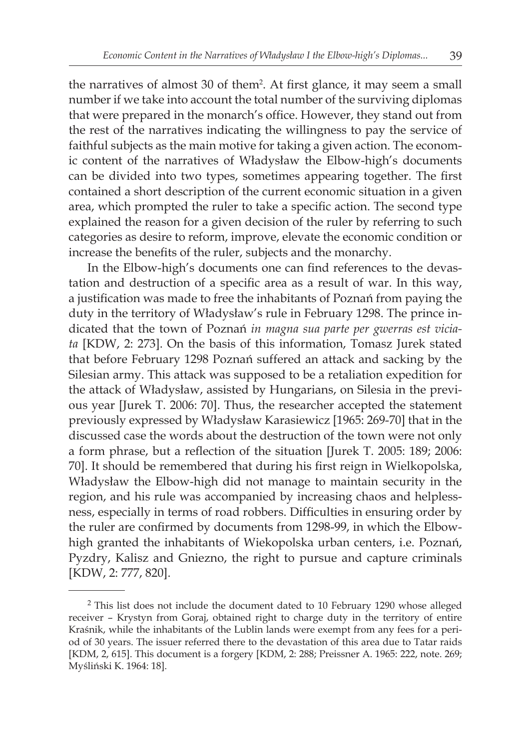the narratives of almost 30 of them<sup>2</sup>. At first glance, it may seem a small number if we take into account the total number of the surviving diplomas that were prepared in the monarch's office. However, they stand out from the rest of the narratives indicating the willingness to pay the service of faithful subjects as the main motive for taking a given action. The economic content of the narratives of Władysław the Elbow-high's documents can be divided into two types, sometimes appearing together. The first contained a short description of the current economic situation in a given area, which prompted the ruler to take a specific action. The second type explained the reason for a given decision of the ruler by referring to such categories as desire to reform, improve, elevate the economic condition or increase the benefits of the ruler, subjects and the monarchy.

In the Elbow-high's documents one can find references to the devastation and destruction of a specific area as a result of war. In this way, a justification was made to free the inhabitants of Poznań from paying the duty in the territory of Władysław's rule in February 1298. The prince indicated that the town of Poznań *in magna sua parte per gwerras est viciata* [KDW, 2: 273]. On the basis of this information, Tomasz Jurek stated that before February 1298 Poznań suffered an attack and sacking by the Silesian army. This attack was supposed to be a retaliation expedition for the attack of Władysław, assisted by Hungarians, on Silesia in the previous year [Jurek T. 2006: 70]. Thus, the researcher accepted the statement previously expressed by Władysław Karasiewicz [1965: 269-70] that in the discussed case the words about the destruction of the town were not only a form phrase, but a reflection of the situation [Jurek T. 2005: 189; 2006: 70]. It should be remembered that during his first reign in Wielkopolska, Władysław the Elbow-high did not manage to maintain security in the region, and his rule was accompanied by increasing chaos and helplessness, especially in terms of road robbers. Difficulties in ensuring order by the ruler are confirmed by documents from 1298-99, in which the Elbowhigh granted the inhabitants of Wiekopolska urban centers, i.e. Poznań, Pyzdry, Kalisz and Gniezno, the right to pursue and capture criminals [KDW, 2: 777, 820].

<sup>&</sup>lt;sup>2</sup> This list does not include the document dated to 10 February 1290 whose alleged receiver – Krystyn from Goraj, obtained right to charge duty in the territory of entire Kraśnik, while the inhabitants of the Lublin lands were exempt from any fees for a period of 30 years. The issuer referred there to the devastation of this area due to Tatar raids [KDM, 2, 615]. This document is a forgery [KDM, 2: 288; Preissner A. 1965: 222, note. 269; Myśliński K. 1964: 18].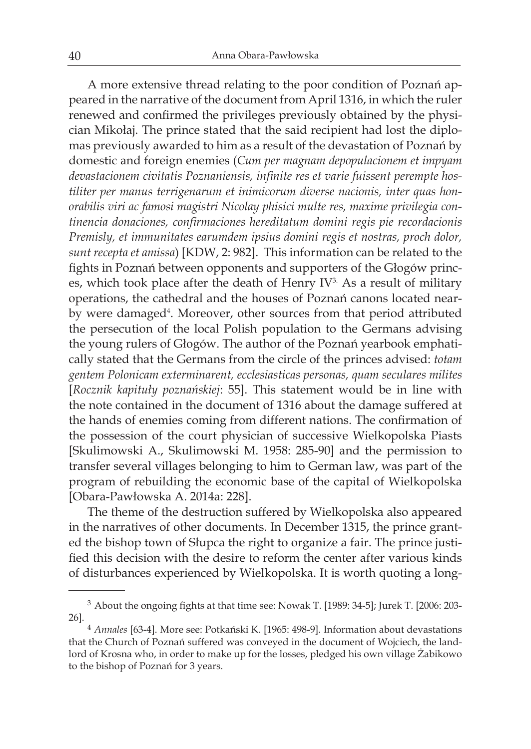A more extensive thread relating to the poor condition of Poznań appeared in the narrative of the document from April 1316, in which the ruler renewed and confirmed the privileges previously obtained by the physician Mikołaj. The prince stated that the said recipient had lost the diplomas previously awarded to him as a result of the devastation of Poznań by domestic and foreign enemies (*Cum per magnam depopulacionem et impyam devastacionem civitatis Poznaniensis, infinite res et varie fuissent perempte hostiliter per manus terrigenarum et inimicorum diverse nacionis, inter quas honorabilis viri ac famosi magistri Nicolay phisici multe res, maxime privilegia continencia donaciones, confirmaciones hereditatum domini regis pie recordacionis Premisly, et immunitates earumdem ipsius domini regis et nostras, proch dolor, sunt recepta et amissa*) [KDW, 2: 982]. This information can be related to the fights in Poznań between opponents and supporters of the Głogów princes, which took place after the death of Henry IV<sup>3.</sup> As a result of military operations, the cathedral and the houses of Poznań canons located nearby were damaged<sup>4</sup>. Moreover, other sources from that period attributed the persecution of the local Polish population to the Germans advising the young rulers of Głogów. The author of the Poznań yearbook emphatically stated that the Germans from the circle of the princes advised: *totam gentem Polonicam exterminarent, ecclesiasticas personas, quam seculares milites* [*Rocznik kapituły poznańskiej*: 55]. This statement would be in line with the note contained in the document of 1316 about the damage suffered at the hands of enemies coming from different nations. The confirmation of the possession of the court physician of successive Wielkopolska Piasts [Skulimowski A., Skulimowski M. 1958: 285-90] and the permission to transfer several villages belonging to him to German law, was part of the program of rebuilding the economic base of the capital of Wielkopolska [Obara-Pawłowska A. 2014a: 228].

The theme of the destruction suffered by Wielkopolska also appeared in the narratives of other documents. In December 1315, the prince granted the bishop town of Słupca the right to organize a fair. The prince justified this decision with the desire to reform the center after various kinds of disturbances experienced by Wielkopolska. It is worth quoting a long-

<sup>3</sup> About the ongoing fights at that time see: Nowak T. [1989: 34-5]; Jurek T. [2006: 203- 26].

<sup>4</sup> *Annales* [63-4]. More see: Potkański K. [1965: 498-9]. Information about devastations that the Church of Poznań suffered was conveyed in the document of Wojciech, the landlord of Krosna who, in order to make up for the losses, pledged his own village Żabikowo to the bishop of Poznań for 3 years.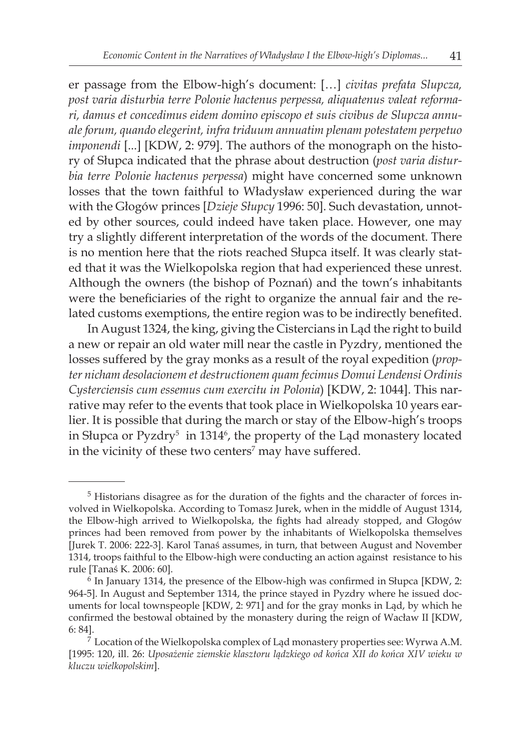er passage from the Elbow-high's document: […] *civitas prefata Slupcza, post varia disturbia terre Polonie hactenus perpessa, aliquatenus valeat reformari, damus et concedimus eidem domino episcopo et suis civibus de Slupcza annuale forum, quando elegerint, infra triduum annuatim plenam potestatem perpetuo imponendi* [...] [KDW, 2: 979]. The authors of the monograph on the history of Słupca indicated that the phrase about destruction (*post varia disturbia terre Polonie hactenus perpessa*) might have concerned some unknown losses that the town faithful to Władysław experienced during the war with the Głogów princes [*Dzieje Słupcy* 1996: 50]. Such devastation, unnoted by other sources, could indeed have taken place. However, one may try a slightly different interpretation of the words of the document. There is no mention here that the riots reached Słupca itself. It was clearly stated that it was the Wielkopolska region that had experienced these unrest. Although the owners (the bishop of Poznań) and the town's inhabitants were the beneficiaries of the right to organize the annual fair and the related customs exemptions, the entire region was to be indirectly benefited.

In August 1324, the king, giving the Cistercians in Ląd the right to build a new or repair an old water mill near the castle in Pyzdry, mentioned the losses suffered by the gray monks as a result of the royal expedition (*propter nicham desolacionem et destructionem quam fecimus Domui Lendensi Ordinis Cysterciensis cum essemus cum exercitu in Polonia*) [KDW, 2: 1044]. This narrative may refer to the events that took place in Wielkopolska 10 years earlier. It is possible that during the march or stay of the Elbow-high's troops in Słupca or Pyzdry<sup>5</sup> in 1314<sup>6</sup>, the property of the Ląd monastery located in the vicinity of these two centers<sup>7</sup> may have suffered.

<sup>&</sup>lt;sup>5</sup> Historians disagree as for the duration of the fights and the character of forces involved in Wielkopolska. According to Tomasz Jurek, when in the middle of August 1314, the Elbow-high arrived to Wielkopolska, the fights had already stopped, and Głogów princes had been removed from power by the inhabitants of Wielkopolska themselves [Jurek T. 2006: 222-3]. Karol Tanaś assumes, in turn, that between August and November 1314, troops faithful to the Elbow-high were conducting an action against resistance to his rule [Tanaś K. 2006: 60].

<sup>6</sup> In January 1314, the presence of the Elbow-high was confirmed in Słupca [KDW, 2: 964-5]. In August and September 1314, the prince stayed in Pyzdry where he issued documents for local townspeople [KDW, 2: 971] and for the gray monks in Ląd, by which he confirmed the bestowal obtained by the monastery during the reign of Wacław II [KDW, 6: 84].

 $7$  Location of the Wielkopolska complex of Ląd monastery properties see: Wyrwa A.M. [1995: 120, ill. 26: *Uposażenie ziemskie klasztoru lądzkiego od końca XII do końca XIV wieku w kluczu wielkopolskim*].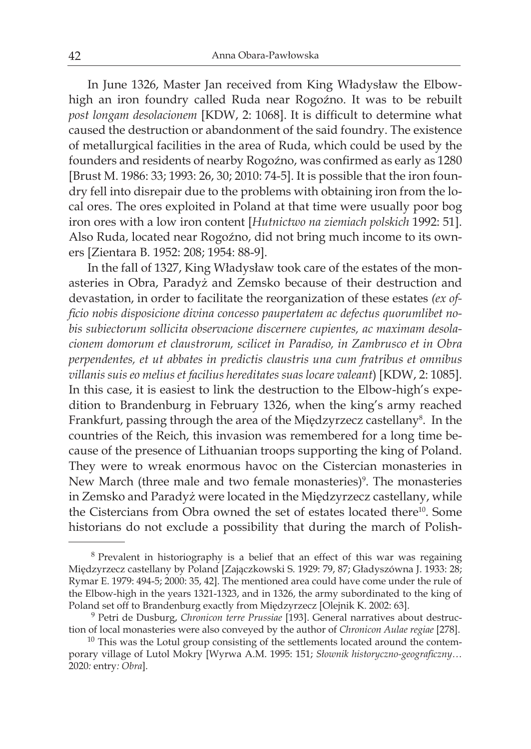In June 1326, Master Jan received from King Władysław the Elbowhigh an iron foundry called Ruda near Rogoźno. It was to be rebuilt *post longam desolacionem* [KDW, 2: 1068]. It is difficult to determine what caused the destruction or abandonment of the said foundry. The existence of metallurgical facilities in the area of Ruda, which could be used by the founders and residents of nearby Rogoźno, was confirmed as early as 1280 [Brust M. 1986: 33; 1993: 26, 30; 2010: 74-5]. It is possible that the iron foundry fell into disrepair due to the problems with obtaining iron from the local ores. The ores exploited in Poland at that time were usually poor bog iron ores with a low iron content [*Hutnictwo na ziemiach polskich* 1992: 51]. Also Ruda, located near Rogoźno, did not bring much income to its owners [Zientara B. 1952: 208; 1954: 88-9].

In the fall of 1327, King Władysław took care of the estates of the monasteries in Obra, Paradyż and Zemsko because of their destruction and devastation, in order to facilitate the reorganization of these estates *(ex officio nobis disposicione divina concesso paupertatem ac defectus quorumlibet nobis subiectorum sollicita observacione discernere cupientes, ac maximam desolacionem domorum et claustrorum, scilicet in Paradiso, in Zambrusco et in Obra perpendentes, et ut abbates in predictis claustris una cum fratribus et omnibus villanis suis eo melius et facilius hereditates suas locare valeant*) [KDW, 2: 1085]. In this case, it is easiest to link the destruction to the Elbow-high's expedition to Brandenburg in February 1326, when the king's army reached Frankfurt, passing through the area of the Międzyrzecz castellany<sup>8</sup>. In the countries of the Reich, this invasion was remembered for a long time because of the presence of Lithuanian troops supporting the king of Poland. They were to wreak enormous havoc on the Cistercian monasteries in New March (three male and two female monasteries)<sup>9</sup>. The monasteries in Zemsko and Paradyż were located in the Międzyrzecz castellany, while the Cistercians from Obra owned the set of estates located there<sup>10</sup>. Some historians do not exclude a possibility that during the march of Polish-

<sup>8</sup> Prevalent in historiography is a belief that an effect of this war was regaining Międzyrzecz castellany by Poland [Zajączkowski S. 1929: 79, 87; Gładyszówna J. 1933: 28; Rymar E. 1979: 494-5; 2000: 35, 42]. The mentioned area could have come under the rule of the Elbow-high in the years 1321-1323, and in 1326, the army subordinated to the king of Poland set off to Brandenburg exactly from Międzyrzecz [Olejnik K. 2002: 63].

<sup>9</sup> Petri de Dusburg, *Chronicon terre Prussiae* [193]. General narratives about destruction of local monasteries were also conveyed by the author of *Chronicon Aulae regiae* [278].

<sup>&</sup>lt;sup>10</sup> This was the Lotul group consisting of the settlements located around the contemporary village of Lutol Mokry [Wyrwa A.M. 1995: 151; *Słownik historyczno-geograficzny…*  2020*:* entry*: Obra*].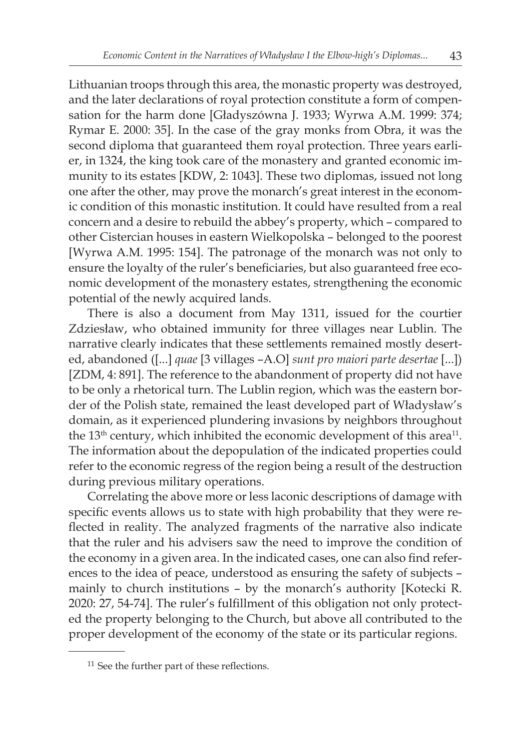Lithuanian troops through this area, the monastic property was destroyed, and the later declarations of royal protection constitute a form of compensation for the harm done [Gładyszówna J. 1933; Wyrwa A.M. 1999: 374; Rymar E. 2000: 35]. In the case of the gray monks from Obra, it was the second diploma that guaranteed them royal protection. Three years earlier, in 1324, the king took care of the monastery and granted economic immunity to its estates [KDW, 2: 1043]. These two diplomas, issued not long one after the other, may prove the monarch's great interest in the economic condition of this monastic institution. It could have resulted from a real concern and a desire to rebuild the abbey's property, which – compared to other Cistercian houses in eastern Wielkopolska – belonged to the poorest [Wyrwa A.M. 1995: 154]. The patronage of the monarch was not only to ensure the loyalty of the ruler's beneficiaries, but also guaranteed free economic development of the monastery estates, strengthening the economic potential of the newly acquired lands.

There is also a document from May 1311, issued for the courtier Zdziesław, who obtained immunity for three villages near Lublin. The narrative clearly indicates that these settlements remained mostly deserted, abandoned ([...] *quae* [3 villages –A.O] *sunt pro maiori parte desertae* [...]) [ZDM, 4: 891]. The reference to the abandonment of property did not have to be only a rhetorical turn. The Lublin region, which was the eastern border of the Polish state, remained the least developed part of Władysław's domain, as it experienced plundering invasions by neighbors throughout the 13<sup>th</sup> century, which inhibited the economic development of this area<sup>11</sup>. The information about the depopulation of the indicated properties could refer to the economic regress of the region being a result of the destruction during previous military operations.

Correlating the above more or less laconic descriptions of damage with specific events allows us to state with high probability that they were reflected in reality. The analyzed fragments of the narrative also indicate that the ruler and his advisers saw the need to improve the condition of the economy in a given area. In the indicated cases, one can also find references to the idea of peace, understood as ensuring the safety of subjects – mainly to church institutions – by the monarch's authority [Kotecki R. 2020: 27, 54-74]. The ruler's fulfillment of this obligation not only protected the property belonging to the Church, but above all contributed to the proper development of the economy of the state or its particular regions.

<sup>&</sup>lt;sup>11</sup> See the further part of these reflections.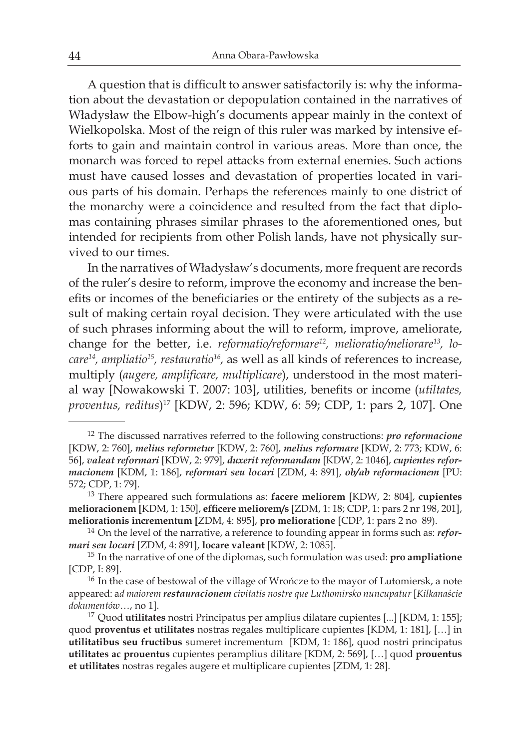A question that is difficult to answer satisfactorily is: why the information about the devastation or depopulation contained in the narratives of Władysław the Elbow-high's documents appear mainly in the context of Wielkopolska. Most of the reign of this ruler was marked by intensive efforts to gain and maintain control in various areas. More than once, the monarch was forced to repel attacks from external enemies. Such actions must have caused losses and devastation of properties located in various parts of his domain. Perhaps the references mainly to one district of the monarchy were a coincidence and resulted from the fact that diplomas containing phrases similar phrases to the aforementioned ones, but intended for recipients from other Polish lands, have not physically survived to our times.

In the narratives of Władysław's documents, more frequent are records of the ruler's desire to reform, improve the economy and increase the benefits or incomes of the beneficiaries or the entirety of the subjects as a result of making certain royal decision. They were articulated with the use of such phrases informing about the will to reform, improve, ameliorate, change for the better, i.e. *reformatio/reformare12, melioratio/meliorare13, locare14, ampliatio<sup>15</sup>, restauratio<sup>16</sup>,* as well as all kinds of references to increase, multiply (*augere, amplificare, multiplicare*), understood in the most material way [Nowakowski T. 2007: 103], utilities, benefits or income (*utiltates, proventus, reditus*)17 [KDW, 2: 596; KDW, 6: 59; CDP, 1: pars 2, 107]. One

<sup>12</sup> The discussed narratives referred to the following constructions: *pro reformacione*  [KDW, 2: 760], *melius reformetur* [KDW, 2: 760], *melius reformare* [KDW, 2: 773; KDW, 6: 56], *valeat reformari* [KDW, 2: 979], *duxerit reformandam* [KDW, 2: 1046], *cupientes reformacionem* [KDM, 1: 186], *reformari seu locari* [ZDM, 4: 891], *ob/ab reformacionem* [PU: 572; CDP, 1: 79].

<sup>13</sup> There appeared such formulations as: **facere meliorem** [KDW, 2: 804], **cupientes melioracionem [**KDM, 1: 150], **efficere meliorem/s [**ZDM, 1: 18; CDP, 1: pars 2 nr 198, 201], **meliorationis incrementum [**ZDM, 4: 895], **pro melioratione** [CDP, 1: pars 2 no 89).

<sup>14</sup> On the level of the narrative, a reference to founding appear in forms such as: *reformari seu locari* [ZDM, 4: 891], **locare valeant** [KDW, 2: 1085].

<sup>15</sup> In the narrative of one of the diplomas, such formulation was used: **pro ampliatione** [CDP, I: 89].

<sup>&</sup>lt;sup>16</sup> In the case of bestowal of the village of Wrończe to the mayor of Lutomiersk, a note appeared: a*d maiorem restauracionem civitatis nostre que Luthomirsko nuncupatur* [*Kilkanaście dokumentów*…, no 1].

<sup>17</sup> Quod **utilitates** nostri Principatus per amplius dilatare cupientes [...] [KDM, 1: 155]; quod **proventus et utilitates** nostras regales multiplicare cupientes [KDM, 1: 181], […] in **utilitatibus seu fructibus** sumeret incrementum [KDM, 1: 186], quod nostri principatus **utilitates ac prouentus** cupientes peramplius dilitare [KDM, 2: 569], […] quod **prouentus et utilitates** nostras regales augere et multiplicare cupientes [ZDM, 1: 28].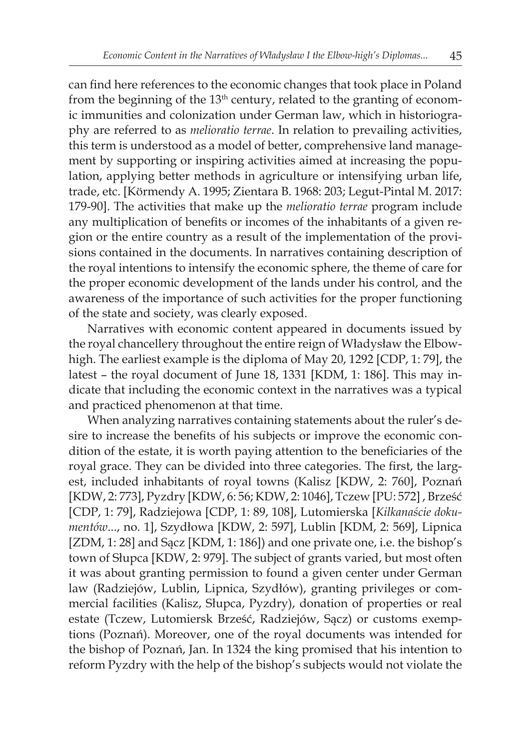can find here references to the economic changes that took place in Poland from the beginning of the  $13<sup>th</sup>$  century, related to the granting of economic immunities and colonization under German law, which in historiography are referred to as *melioratio terrae*. In relation to prevailing activities, this term is understood as a model of better, comprehensive land management by supporting or inspiring activities aimed at increasing the population, applying better methods in agriculture or intensifying urban life, trade, etc. [Körmendy A. 1995; Zientara B. 1968: 203; Legut-Pintal M. 2017: 179-90]. The activities that make up the *melioratio terrae* program include any multiplication of benefits or incomes of the inhabitants of a given region or the entire country as a result of the implementation of the provisions contained in the documents. In narratives containing description of the royal intentions to intensify the economic sphere, the theme of care for the proper economic development of the lands under his control, and the awareness of the importance of such activities for the proper functioning of the state and society, was clearly exposed.

Narratives with economic content appeared in documents issued by the royal chancellery throughout the entire reign of Władysław the Elbowhigh. The earliest example is the diploma of May 20, 1292 [CDP, 1: 79], the latest – the royal document of June 18, 1331 [KDM, 1: 186]. This may indicate that including the economic context in the narratives was a typical and practiced phenomenon at that time.

When analyzing narratives containing statements about the ruler's desire to increase the benefits of his subjects or improve the economic condition of the estate, it is worth paying attention to the beneficiaries of the royal grace. They can be divided into three categories. The first, the largest, included inhabitants of royal towns (Kalisz [KDW, 2: 760], Poznań [KDW, 2: 773], Pyzdry [KDW, 6: 56; KDW, 2: 1046], Tczew [PU: 572] , Brześć [CDP, 1: 79], Radziejowa [CDP, 1: 89, 108], Lutomierska [*Kilkanaście dokumentów*..., no. 1], Szydłowa [KDW, 2: 597], Lublin [KDM, 2: 569], Lipnica [ZDM, 1: 28] and Sącz [KDM, 1: 186]) and one private one, i.e. the bishop's town of Słupca [KDW, 2: 979]. The subject of grants varied, but most often it was about granting permission to found a given center under German law (Radziejów, Lublin, Lipnica, Szydłów), granting privileges or commercial facilities (Kalisz, Słupca, Pyzdry), donation of properties or real estate (Tczew, Lutomiersk Brześć, Radziejów, Sącz) or customs exemptions (Poznań). Moreover, one of the royal documents was intended for the bishop of Poznań, Jan. In 1324 the king promised that his intention to reform Pyzdry with the help of the bishop's subjects would not violate the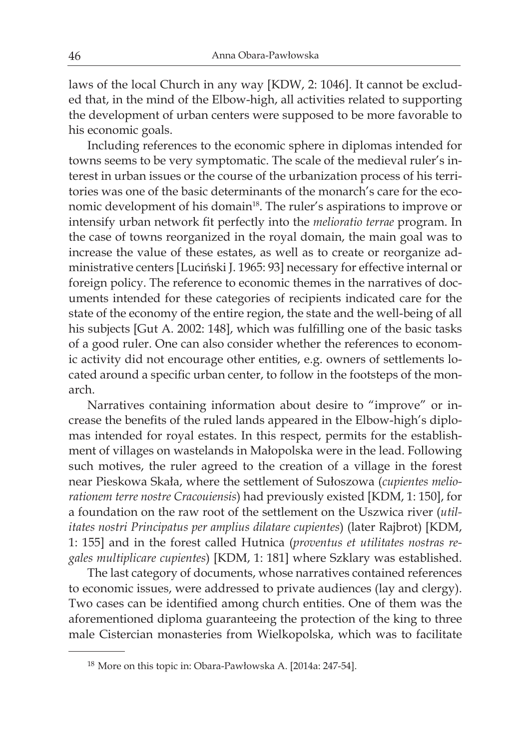laws of the local Church in any way [KDW, 2: 1046]. It cannot be excluded that, in the mind of the Elbow-high, all activities related to supporting the development of urban centers were supposed to be more favorable to his economic goals.

Including references to the economic sphere in diplomas intended for towns seems to be very symptomatic. The scale of the medieval ruler's interest in urban issues or the course of the urbanization process of his territories was one of the basic determinants of the monarch's care for the economic development of his domain<sup>18</sup>. The ruler's aspirations to improve or intensify urban network fit perfectly into the *melioratio terrae* program. In the case of towns reorganized in the royal domain, the main goal was to increase the value of these estates, as well as to create or reorganize administrative centers [Luciński J. 1965: 93] necessary for effective internal or foreign policy. The reference to economic themes in the narratives of documents intended for these categories of recipients indicated care for the state of the economy of the entire region, the state and the well-being of all his subjects [Gut A. 2002: 148], which was fulfilling one of the basic tasks of a good ruler. One can also consider whether the references to economic activity did not encourage other entities, e.g. owners of settlements located around a specific urban center, to follow in the footsteps of the monarch.

Narratives containing information about desire to "improve" or increase the benefits of the ruled lands appeared in the Elbow-high's diplomas intended for royal estates. In this respect, permits for the establishment of villages on wastelands in Małopolska were in the lead. Following such motives, the ruler agreed to the creation of a village in the forest near Pieskowa Skała, where the settlement of Sułoszowa (*cupientes meliorationem terre nostre Cracouiensis*) had previously existed [KDM, 1: 150], for a foundation on the raw root of the settlement on the Uszwica river (*utilitates nostri Principatus per amplius dilatare cupientes*) (later Rajbrot) [KDM, 1: 155] and in the forest called Hutnica (*proventus et utilitates nostras regales multiplicare cupientes*) [KDM, 1: 181] where Szklary was established.

The last category of documents, whose narratives contained references to economic issues, were addressed to private audiences (lay and clergy). Two cases can be identified among church entities. One of them was the aforementioned diploma guaranteeing the protection of the king to three male Cistercian monasteries from Wielkopolska, which was to facilitate

<sup>18</sup> More on this topic in: Obara-Pawłowska A. [2014a: 247-54].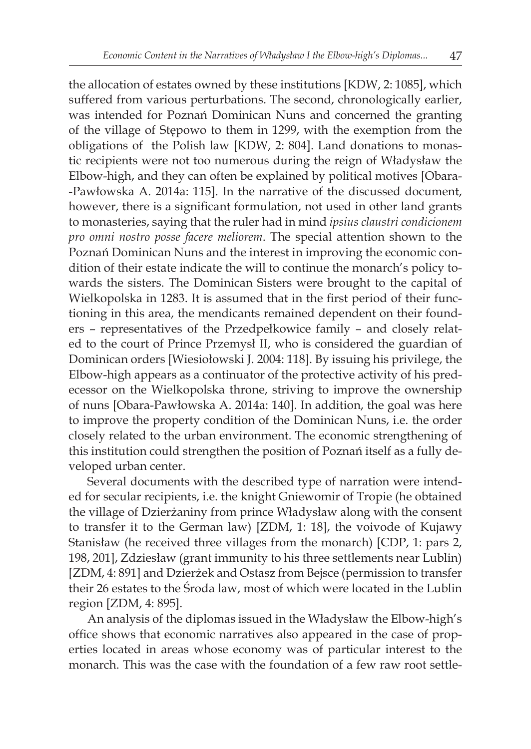the allocation of estates owned by these institutions [KDW, 2: 1085], which suffered from various perturbations. The second, chronologically earlier, was intended for Poznań Dominican Nuns and concerned the granting of the village of Stępowo to them in 1299, with the exemption from the obligations of the Polish law [KDW, 2: 804]. Land donations to monastic recipients were not too numerous during the reign of Władysław the Elbow-high, and they can often be explained by political motives [Obara- -Pawłowska A. 2014a: 115]. In the narrative of the discussed document, however, there is a significant formulation, not used in other land grants to monasteries, saying that the ruler had in mind *ipsius claustri condicionem pro omni nostro posse facere meliorem*. The special attention shown to the Poznań Dominican Nuns and the interest in improving the economic condition of their estate indicate the will to continue the monarch's policy towards the sisters. The Dominican Sisters were brought to the capital of Wielkopolska in 1283. It is assumed that in the first period of their functioning in this area, the mendicants remained dependent on their founders – representatives of the Przedpełkowice family – and closely related to the court of Prince Przemysł II, who is considered the guardian of Dominican orders [Wiesiołowski J. 2004: 118]. By issuing his privilege, the Elbow-high appears as a continuator of the protective activity of his predecessor on the Wielkopolska throne, striving to improve the ownership of nuns [Obara-Pawłowska A. 2014a: 140]. In addition, the goal was here to improve the property condition of the Dominican Nuns, i.e. the order closely related to the urban environment. The economic strengthening of this institution could strengthen the position of Poznań itself as a fully developed urban center.

Several documents with the described type of narration were intended for secular recipients, i.e. the knight Gniewomir of Tropie (he obtained the village of Dzierżaniny from prince Władysław along with the consent to transfer it to the German law) [ZDM, 1: 18], the voivode of Kujawy Stanisław (he received three villages from the monarch) [CDP, 1: pars 2, 198, 201], Zdziesław (grant immunity to his three settlements near Lublin) [ZDM, 4: 891] and Dzierżek and Ostasz from Bejsce (permission to transfer their 26 estates to the Środa law, most of which were located in the Lublin region [ZDM, 4: 895].

An analysis of the diplomas issued in the Władysław the Elbow-high's office shows that economic narratives also appeared in the case of properties located in areas whose economy was of particular interest to the monarch. This was the case with the foundation of a few raw root settle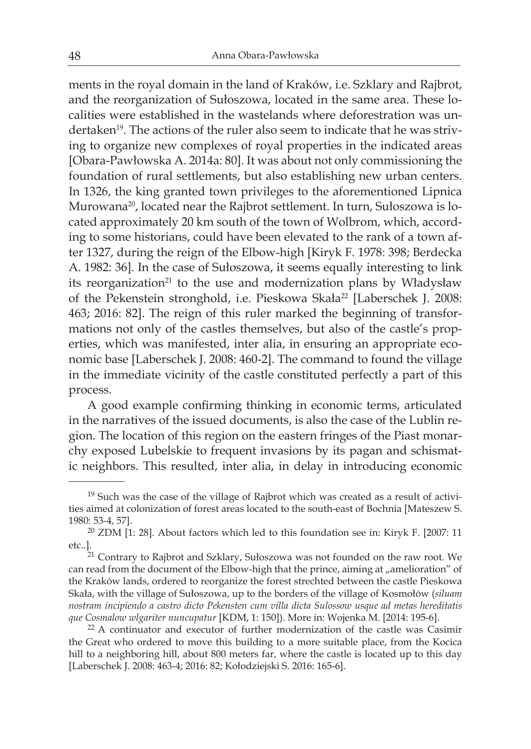ments in the royal domain in the land of Kraków, i.e. Szklary and Rajbrot, and the reorganization of Sułoszowa, located in the same area. These localities were established in the wastelands where deforestration was undertaken<sup>19</sup>. The actions of the ruler also seem to indicate that he was striving to organize new complexes of royal properties in the indicated areas [Obara-Pawłowska A. 2014a: 80]. It was about not only commissioning the foundation of rural settlements, but also establishing new urban centers. In 1326, the king granted town privileges to the aforementioned Lipnica Murowana20, located near the Rajbrot settlement. In turn, Sułoszowa is located approximately 20 km south of the town of Wolbrom, which, according to some historians, could have been elevated to the rank of a town after 1327, during the reign of the Elbow-high [Kiryk F. 1978: 398; Berdecka A. 1982: 36]. In the case of Sułoszowa, it seems equally interesting to link its reorganization<sup>21</sup> to the use and modernization plans by Władysław of the Pekenstein stronghold, i.e. Pieskowa Skała<sup>22</sup> [Laberschek J. 2008: 463; 2016: 82]. The reign of this ruler marked the beginning of transformations not only of the castles themselves, but also of the castle's properties, which was manifested, inter alia, in ensuring an appropriate economic base [Laberschek J. 2008: 460-2]. The command to found the village in the immediate vicinity of the castle constituted perfectly a part of this process.

A good example confirming thinking in economic terms, articulated in the narratives of the issued documents, is also the case of the Lublin region. The location of this region on the eastern fringes of the Piast monarchy exposed Lubelskie to frequent invasions by its pagan and schismatic neighbors. This resulted, inter alia, in delay in introducing economic

 $19$  Such was the case of the village of Rajbrot which was created as a result of activities aimed at colonization of forest areas located to the south-east of Bochnia [Mateszew S. 1980: 53-4, 57].

 $20$  ZDM [1: 28]. About factors which led to this foundation see in: Kiryk F. [2007: 11 etc..].

 $21$  Contrary to Rajbrot and Szklary, Sułoszowa was not founded on the raw root. We can read from the document of the Elbow-high that the prince, aiming at "amelioration" of the Kraków lands, ordered to reorganize the forest strechted between the castle Pieskowa Skała, with the village of Sułoszowa, up to the borders of the village of Kosmołów (*siluam nostram incipiendo a castro dicto Pekensten cum villa dicta Sulossow usque ad metas hereditatis que Cosmalow wlgariter nuncupatur* [KDM, 1: 150]). More in: Wojenka M. [2014: 195-6].

<sup>&</sup>lt;sup>22</sup> A continuator and executor of further modernization of the castle was Casimir the Great who ordered to move this building to a more suitable place, from the Kocica hill to a neighboring hill, about 800 meters far, where the castle is located up to this day [Laberschek J. 2008: 463-4; 2016: 82; Kołodziejski S. 2016: 165-6].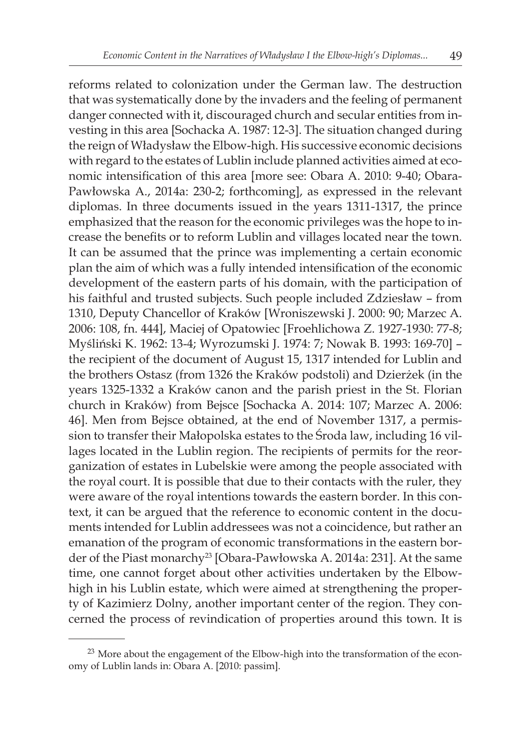reforms related to colonization under the German law. The destruction that was systematically done by the invaders and the feeling of permanent danger connected with it, discouraged church and secular entities from investing in this area [Sochacka A. 1987: 12-3]. The situation changed during the reign of Władysław the Elbow-high. His successive economic decisions with regard to the estates of Lublin include planned activities aimed at economic intensification of this area [more see: Obara A. 2010: 9-40; Obara-Pawłowska A., 2014a: 230-2; forthcoming], as expressed in the relevant diplomas. In three documents issued in the years 1311-1317, the prince emphasized that the reason for the economic privileges was the hope to increase the benefits or to reform Lublin and villages located near the town. It can be assumed that the prince was implementing a certain economic plan the aim of which was a fully intended intensification of the economic development of the eastern parts of his domain, with the participation of his faithful and trusted subjects. Such people included Zdziesław – from 1310, Deputy Chancellor of Kraków [Wroniszewski J. 2000: 90; Marzec A. 2006: 108, fn. 444], Maciej of Opatowiec [Froehlichowa Z. 1927-1930: 77-8; Myśliński K. 1962: 13-4; Wyrozumski J. 1974: 7; Nowak B. 1993: 169-70] – the recipient of the document of August 15, 1317 intended for Lublin and the brothers Ostasz (from 1326 the Kraków podstoli) and Dzierżek (in the years 1325-1332 a Kraków canon and the parish priest in the St. Florian church in Kraków) from Bejsce [Sochacka A. 2014: 107; Marzec A. 2006: 46]. Men from Bejsce obtained, at the end of November 1317, a permission to transfer their Małopolska estates to the Środa law, including 16 villages located in the Lublin region. The recipients of permits for the reorganization of estates in Lubelskie were among the people associated with the royal court. It is possible that due to their contacts with the ruler, they were aware of the royal intentions towards the eastern border. In this context, it can be argued that the reference to economic content in the documents intended for Lublin addressees was not a coincidence, but rather an emanation of the program of economic transformations in the eastern border of the Piast monarchy<sup>23</sup> [Obara-Pawłowska A. 2014a: 231]. At the same time, one cannot forget about other activities undertaken by the Elbowhigh in his Lublin estate, which were aimed at strengthening the property of Kazimierz Dolny, another important center of the region. They concerned the process of revindication of properties around this town. It is

<sup>&</sup>lt;sup>23</sup> More about the engagement of the Elbow-high into the transformation of the economy of Lublin lands in: Obara A. [2010: passim].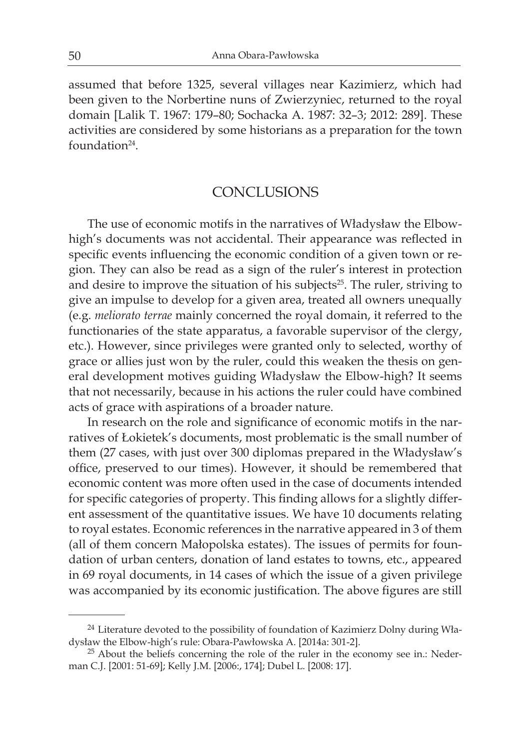assumed that before 1325, several villages near Kazimierz, which had been given to the Norbertine nuns of Zwierzyniec, returned to the royal domain [Lalik T. 1967: 179–80; Sochacka A. 1987: 32–3; 2012: 289]. These activities are considered by some historians as a preparation for the town foundation24.

### **CONCLUSIONS**

The use of economic motifs in the narratives of Władysław the Elbowhigh's documents was not accidental. Their appearance was reflected in specific events influencing the economic condition of a given town or region. They can also be read as a sign of the ruler's interest in protection and desire to improve the situation of his subjects<sup>25</sup>. The ruler, striving to give an impulse to develop for a given area, treated all owners unequally (e.g. *meliorato terrae* mainly concerned the royal domain, it referred to the functionaries of the state apparatus, a favorable supervisor of the clergy, etc.). However, since privileges were granted only to selected, worthy of grace or allies just won by the ruler, could this weaken the thesis on general development motives guiding Władysław the Elbow-high? It seems that not necessarily, because in his actions the ruler could have combined acts of grace with aspirations of a broader nature.

In research on the role and significance of economic motifs in the narratives of Łokietek's documents, most problematic is the small number of them (27 cases, with just over 300 diplomas prepared in the Władysław's office, preserved to our times). However, it should be remembered that economic content was more often used in the case of documents intended for specific categories of property. This finding allows for a slightly different assessment of the quantitative issues. We have 10 documents relating to royal estates. Economic references in the narrative appeared in 3 of them (all of them concern Małopolska estates). The issues of permits for foundation of urban centers, donation of land estates to towns, etc., appeared in 69 royal documents, in 14 cases of which the issue of a given privilege was accompanied by its economic justification. The above figures are still

<sup>&</sup>lt;sup>24</sup> Literature devoted to the possibility of foundation of Kazimierz Dolny during Władysław the Elbow-high's rule: Obara-Pawłowska A. [2014a: 301-2].

<sup>&</sup>lt;sup>25</sup> About the beliefs concerning the role of the ruler in the economy see in.: Nederman C.J. [2001: 51-69]; Kelly J.M. [2006:, 174]; Dubel L. [2008: 17].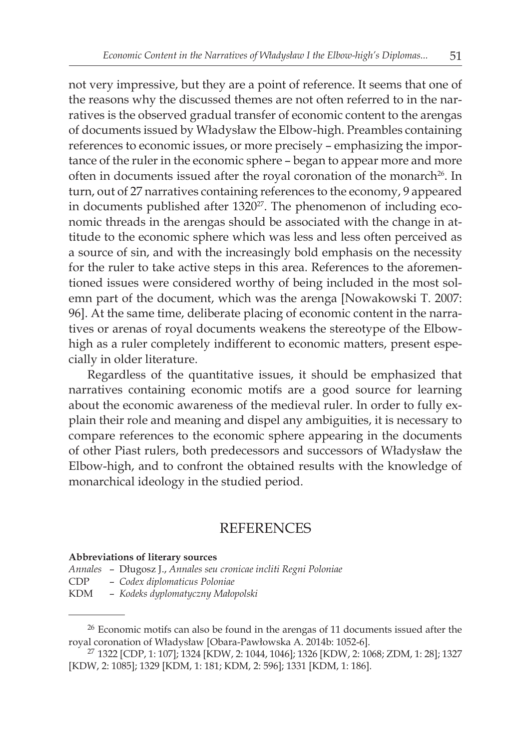not very impressive, but they are a point of reference. It seems that one of the reasons why the discussed themes are not often referred to in the narratives is the observed gradual transfer of economic content to the arengas of documents issued by Władysław the Elbow-high. Preambles containing references to economic issues, or more precisely – emphasizing the importance of the ruler in the economic sphere – began to appear more and more often in documents issued after the royal coronation of the monarch<sup>26</sup>. In turn, out of 27 narratives containing references to the economy, 9 appeared in documents published after 1320<sup>27</sup>. The phenomenon of including economic threads in the arengas should be associated with the change in attitude to the economic sphere which was less and less often perceived as a source of sin, and with the increasingly bold emphasis on the necessity for the ruler to take active steps in this area. References to the aforementioned issues were considered worthy of being included in the most solemn part of the document, which was the arenga [Nowakowski T. 2007: 96]. At the same time, deliberate placing of economic content in the narratives or arenas of royal documents weakens the stereotype of the Elbowhigh as a ruler completely indifferent to economic matters, present especially in older literature.

Regardless of the quantitative issues, it should be emphasized that narratives containing economic motifs are a good source for learning about the economic awareness of the medieval ruler. In order to fully explain their role and meaning and dispel any ambiguities, it is necessary to compare references to the economic sphere appearing in the documents of other Piast rulers, both predecessors and successors of Władysław the Elbow-high, and to confront the obtained results with the knowledge of monarchical ideology in the studied period.

### **REFERENCES**

#### **Abbreviations of literary sources**

- *Annales* Długosz J., *Annales seu cronicae incliti Regni Poloniae*
- CDP *Codex diplomaticus Poloniae*
- KDM *Kodeks dyplomatyczny Małopolski*

<sup>&</sup>lt;sup>26</sup> Economic motifs can also be found in the arengas of 11 documents issued after the royal coronation of Władysław [Obara-Pawłowska A. 2014b: 1052-6].

<sup>27</sup> 1322 [CDP, 1: 107]; 1324 [KDW, 2: 1044, 1046]; 1326 [KDW, 2: 1068; ZDM, 1: 28]; 1327 [KDW, 2: 1085]; 1329 [KDM, 1: 181; KDM, 2: 596]; 1331 [KDM, 1: 186].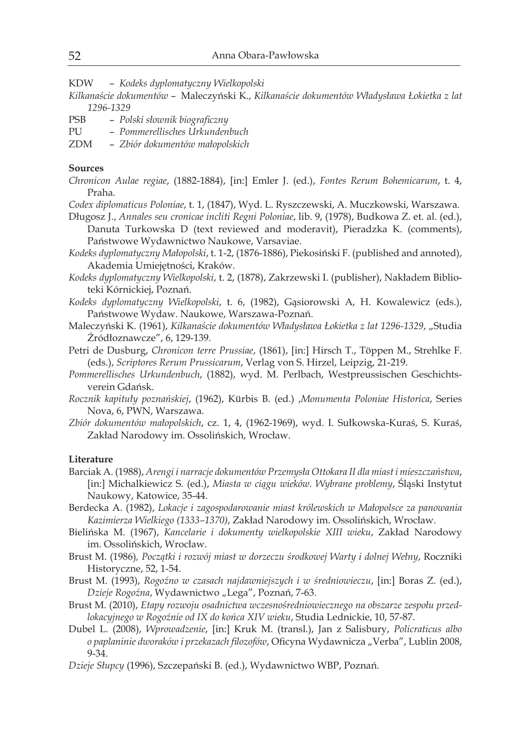- KDW *Kodeks dyplomatyczny Wielkopolski*
- *Kilkanaście dokumentów* Maleczyński K., *Kilkanaście dokumentów Władysława Łokietka z lat 1296-1329*
- PSB *Polski słownik biograficzny*
- PU *Pommerellisches Urkundenbuch*
- ZDM *Zbiór dokumentów małopolskich*

### **Sources**

- *Chronicon Aulae regiae*, (1882-1884), [in:] Emler J. (ed.), *Fontes Rerum Bohemicarum*, t. 4, Praha.
- *Codex diplomaticus Poloniae*, t. 1, (1847), Wyd. L. Ryszczewski, A. Muczkowski, Warszawa.
- Długosz J., *Annales seu cronicae incliti Regni Poloniae*, lib. 9, (1978), Budkowa Z. et. al. (ed.), Danuta Turkowska D (text reviewed and moderavit), Pieradzka K. (comments), Państwowe Wydawnictwo Naukowe, Varsaviae.
- *Kodeks dyplomatyczny Małopolski*, t. 1-2, (1876-1886), Piekosiński F. (published and annoted), Akademia Umiejętności, Kraków.
- *Kodeks dyplomatyczny Wielkopolski*, t. 2, (1878), Zakrzewski I. (publisher), Nakładem Biblioteki Kórnickiej, Poznań.
- *Kodeks dyplomatyczny Wielkopolski*, t. 6, (1982), Gąsiorowski A, H. Kowalewicz (eds.), Państwowe Wydaw. Naukowe, Warszawa-Poznań.
- Maleczyński K. (1961), *Kilkanaście dokumentów Władysława Łokietka z lat 1296-1329*, "Studia Źródłoznawcze", 6, 129-139.
- Petri de Dusburg, *Chronicon terre Prussiae*, (1861), [in:] Hirsch T., Töppen M., Strehlke F. (eds.), *Scriptores Rerum Prussicarum*, Verlag von S. Hirzel, Leipzig, 21-219.
- *Pommerellisches Urkundenbuch*, (1882), wyd. M. Perlbach, Westpreussischen Geschichtsverein Gdańsk.
- *Rocznik kapituły poznańskiej*, (1962), Kürbis B. (ed.) ,*Monumenta Poloniae Historica*, Series Nova, 6, PWN, Warszawa.
- *Zbiór dokumentów małopolskich*, cz. 1, 4, (1962-1969), wyd. I. Sułkowska-Kuraś, S. Kuraś, Zakład Narodowy im. Ossolińskich, Wrocław.

#### **Literature**

- Barciak A. (1988), *Arengi i narracje dokumentów Przemysła Ottokara II dla miast i mieszczaństwa*, [in:] Michalkiewicz S. (ed.), *Miasta w ciągu wieków. Wybrane problemy*, Śląski Instytut Naukowy, Katowice, 35-44.
- Berdecka A. (1982), *Lokacje i zagospodarowanie miast królewskich w Małopolsce za panowania Kazimierza Wielkiego (1333–1370)*, Zakład Narodowy im. Ossolińskich, Wrocław.
- Bielińska M. (1967), *Kancelarie i dokumenty wielkopolskie XIII wieku*, Zakład Narodowy im. Ossolińskich, Wrocław.
- Brust M. (1986)*, Początki i rozwój miast w dorzeczu środkowej Warty i dolnej Wełny*, Roczniki Historyczne, 52, 1-54.
- Brust M. (1993), *Rogoźno w czasach najdawniejszych i w średniowieczu*, [in:] Boras Z. (ed.), *Dzieje Rogoźna*, Wydawnictwo "Lega", Poznań, 7-63.
- Brust M. (2010), *Etapy rozwoju osadnictwa wczesnośredniowiecznego na obszarze zespołu przedlokacyjnego w Rogoźnie od IX do końca XIV wieku*, Studia Lednickie, 10, 57-87.
- Dubel L. (2008), *Wprowadzenie*, [in:] Kruk M. (transl.), Jan z Salisbury, *Policraticus albo o paplaninie dworaków i przekazach filozofów, Oficyna Wydawnicza "Verba"*, Lublin 2008, 9-34.
- *Dzieje Słupcy* (1996), Szczepański B. (ed.), Wydawnictwo WBP, Poznań.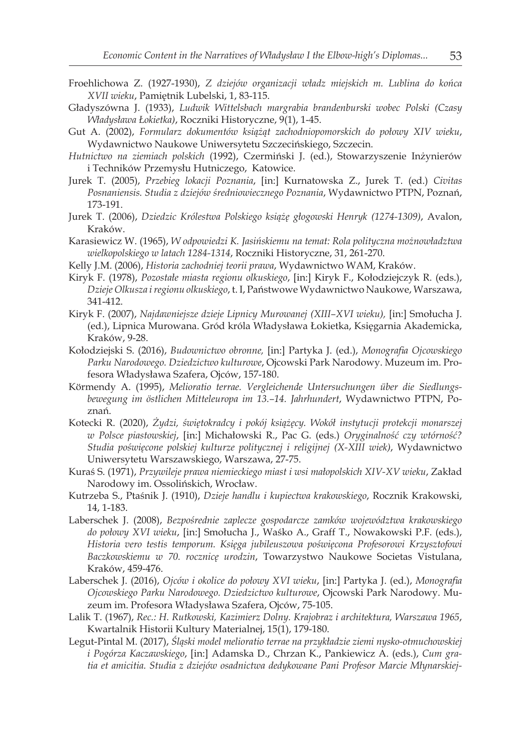- Froehlichowa Z. (1927-1930), *Z dziejów organizacji władz miejskich m. Lublina do końca XVII wieku*, Pamiętnik Lubelski, 1, 83-115.
- Gładyszówna J. (1933), *Ludwik Wittelsbach margrabia brandenburski wobec Polski (Czasy Władysława Łokietka)*, Roczniki Historyczne, 9(1), 1-45.
- Gut A. (2002), *Formularz dokumentów książąt zachodniopomorskich do połowy XIV wieku*, Wydawnictwo Naukowe Uniwersytetu Szczecińskiego, Szczecin.
- *Hutnictwo na ziemiach polskich* (1992), Czermiński J. (ed.), Stowarzyszenie Inżynierów i Techników Przemysłu Hutniczego, Katowice.
- Jurek T. (2005), *Przebieg lokacji Poznania*, [in:] Kurnatowska Z., Jurek T. (ed.) *Civitas Posnaniensis. Studia z dziejów średniowiecznego Poznania*, Wydawnictwo PTPN, Poznań, 173-191.
- Jurek T. (2006), *Dziedzic Królestwa Polskiego książę głogowski Henryk (1274-1309)*, Avalon, Kraków.
- Karasiewicz W. (1965), *W odpowiedzi K. Jasińskiemu na temat: Rola polityczna możnowładztwa wielkopolskiego w latach 1284-1314*, Roczniki Historyczne, 31, 261-270.
- Kelly J.M. (2006), *Historia zachodniej teorii prawa*, Wydawnictwo WAM, Kraków.
- Kiryk F. (1978), *Pozostałe miasta regionu olkuskiego*, [in:] Kiryk F., Kołodziejczyk R. (eds.), *Dzieje Olkusza i regionu olkuskiego*, t. I, Państwowe Wydawnictwo Naukowe, Warszawa, 341-412.
- Kiryk F. (2007), *Najdawniejsze dzieje Lipnicy Murowanej (XIII–XVI wieku),* [in:] Smołucha J. (ed.), Lipnica Murowana. Gród króla Władysława Łokietka, Księgarnia Akademicka, Kraków, 9-28.
- Kołodziejski S. (2016), *Budownictwo obronne,* [in:] Partyka J. (ed.), *Monografia Ojcowskiego Parku Narodowego. Dziedzictwo kulturowe*, Ojcowski Park Narodowy. Muzeum im. Profesora Władysława Szafera, Ojców, 157-180.
- Körmendy A. (1995), *Melioratio terrae. Vergleichende Untersuchungen über die Siedlungsbewegung im östlichen Mitteleuropa im 13.–14. Jahrhundert*, Wydawnictwo PTPN, Poznań.
- Kotecki R. (2020), *Żydzi, świętokradcy i pokój książęcy. Wokół instytucji protekcji monarszej w Polsce piastowskiej*, [in:] Michałowski R., Pac G. (eds.) *Oryginalność czy wtórność? Studia poświęcone polskiej kulturze politycznej i religijnej (X-XIII wiek)*, Wydawnictwo Uniwersytetu Warszawskiego, Warszawa, 27-75.
- Kuraś S. (1971), *Przywileje prawa niemieckiego miast i wsi małopolskich XIV-XV wieku*, Zakład Narodowy im. Ossolińskich, Wrocław.
- Kutrzeba S., Ptaśnik J. (1910), *Dzieje handlu i kupiectwa krakowskiego*, Rocznik Krakowski, 14, 1-183.
- Laberschek J. (2008), *Bezpośrednie zaplecze gospodarcze zamków województwa krakowskiego do połowy XVI wieku*, [in:] Smołucha J., Waśko A., Graff T., Nowakowski P.F. (eds.), *Historia vero testis temporum. Księga jubileuszowa poświęcona Profesorowi Krzysztofowi Baczkowskiemu w 70. rocznicę urodzin*, Towarzystwo Naukowe Societas Vistulana, Kraków, 459-476.
- Laberschek J. (2016), *Ojców i okolice do połowy XVI wieku*, [in:] Partyka J. (ed.), *Monografia Ojcowskiego Parku Narodowego. Dziedzictwo kulturowe*, Ojcowski Park Narodowy. Muzeum im. Profesora Władysława Szafera, Ojców, 75-105.
- Lalik T. (1967), *Rec.: H. Rutkowski, Kazimierz Dolny. Krajobraz i architektura, Warszawa 1965*, Kwartalnik Historii Kultury Materialnej, 15(1), 179-180.
- Legut-Pintal M. (2017), *Śląski model melioratio terrae na przykładzie ziemi nysko-otmuchowskiej i Pogórza Kaczawskiego*, [in:] Adamska D., Chrzan K., Pankiewicz A. (eds.), *Cum gratia et amicitia. Studia z dziejów osadnictwa dedykowane Pani Profesor Marcie Młynarskiej-*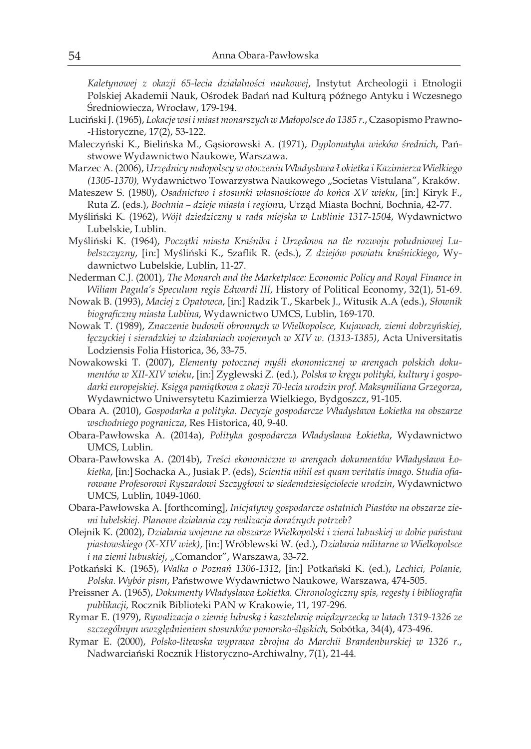*Kaletynowej z okazji 65-lecia działalności naukowej*, Instytut Archeologii i Etnologii Polskiej Akademii Nauk, Ośrodek Badań nad Kulturą późnego Antyku i Wczesnego Średniowiecza, Wrocław, 179-194.

- Luciński J. (1965), *Lokacje wsi i miast monarszych w Małopolsce do 1385 r.*, Czasopismo Prawno- -Historyczne, 17(2), 53-122.
- Maleczyński K., Bielińska M., Gąsiorowski A. (1971), *Dyplomatyka wieków średnich*, Państwowe Wydawnictwo Naukowe, Warszawa.
- Marzec A. (2006), *Urzędnicy małopolscy w otoczeniu Władysława Łokietka i Kazimierza Wielkiego*  (1305-1370), Wydawnictwo Towarzystwa Naukowego "Societas Vistulana", Kraków.
- Mateszew S. (1980), *Osadnictwo i stosunki własnościowe do końca XV wieku*, [in:] Kiryk F., Ruta Z. (eds.), *Bochnia – dzieje miasta i region*u, Urząd Miasta Bochni, Bochnia, 42-77.
- Myśliński K. (1962), *Wójt dziedziczny u rada miejska w Lublinie 1317-1504*, Wydawnictwo Lubelskie, Lublin.
- Myśliński K. (1964), *Początki miasta Kraśnika i Urzędowa na tle rozwoju południowej Lubelszczyzny*, [in:] Myśliński K., Szaflik R. (eds.), *Z dziejów powiatu kraśnickiego*, Wydawnictwo Lubelskie, Lublin, 11-27.
- Nederman C.J. (2001), *The Monarch and the Marketplace: Economic Policy and Royal Finance in Wiliam Pagula's Speculum regis Edwardi III*, History of Political Economy, 32(1), 51-69.
- Nowak B. (1993), *Maciej z Opatowca*, [in:] Radzik T., Skarbek J., Witusik A.A (eds.), *Słownik biograficzny miasta Lublina*, Wydawnictwo UMCS, Lublin, 169-170.
- Nowak T. (1989), *Znaczenie budowli obronnych w Wielkopolsce, Kujawach, ziemi dobrzyńskiej, łęczyckiej i sieradzkiej w działaniach wojennych w XIV w. (1313-1385)*, Acta Universitatis Lodziensis Folia Historica, 36, 33-75.
- Nowakowski T. (2007), *Elementy potocznej myśli ekonomicznej w arengach polskich dokumentów w XII-XIV wieku*, [in:] Zyglewski Z. (ed.), *Polska w kręgu polityki, kultury i gospodarki europejskiej. Księga pamiątkowa z okazji 70-lecia urodzin prof. Maksymiliana Grzegorza*, Wydawnictwo Uniwersytetu Kazimierza Wielkiego, Bydgoszcz, 91-105.
- Obara A. (2010), *Gospodarka a polityka. Decyzje gospodarcze Władysława Łokietka na obszarze wschodniego pogranicza*, Res Historica, 40, 9-40.
- Obara-Pawłowska A. (2014a), *Polityka gospodarcza Władysława Łokietka*, Wydawnictwo UMCS, Lublin.
- Obara-Pawłowska A. (2014b), *Treści ekonomiczne w arengach dokumentów Władysława Łokietka*, [in:] Sochacka A., Jusiak P. (eds), *Scientia nihil est quam veritatis imago. Studia ofiarowane Profesorowi Ryszardowi Szczygłowi w siedemdziesięciolecie urodzin*, Wydawnictwo UMCS, Lublin, 1049-1060.
- Obara-Pawłowska A. [forthcoming], *Inicjatywy gospodarcze ostatnich Piastów na obszarze ziemi lubelskiej. Planowe działania czy realizacja doraźnych potrzeb?*
- Olejnik K. (2002), *Działania wojenne na obszarze Wielkopolski i ziemi lubuskiej w dobie państwa piastowskiego (X-XIV wiek)*, [in:] Wróblewski W. (ed.), *Działania militarne w Wielkopolsce i na ziemi lubuskiej*, "Comandor", Warszawa, 33-72.
- Potkański K. (1965), *Walka o Poznań 1306-1312*, [in:] Potkański K. (ed.), *Lechici, Polanie, Polska. Wybór pism*, Państwowe Wydawnictwo Naukowe, Warszawa, 474-505.
- Preissner A. (1965), *Dokumenty Władysława Łokietka. Chronologiczny spis, regesty i bibliografia publikacji,* Rocznik Biblioteki PAN w Krakowie, 11, 197-296.
- Rymar E. (1979), *Rywalizacja o ziemię lubuską i kasztelanię międzyrzecką w latach 1319-1326 ze szczególnym uwzględnieniem stosunków pomorsko-śląskich,* Sobótka, 34(4), 473-496.
- Rymar E. (2000), *Polsko-litewska wyprawa zbrojna do Marchii Brandenburskiej w 1326 r.*, Nadwarciański Rocznik Historyczno-Archiwalny, 7(1), 21-44.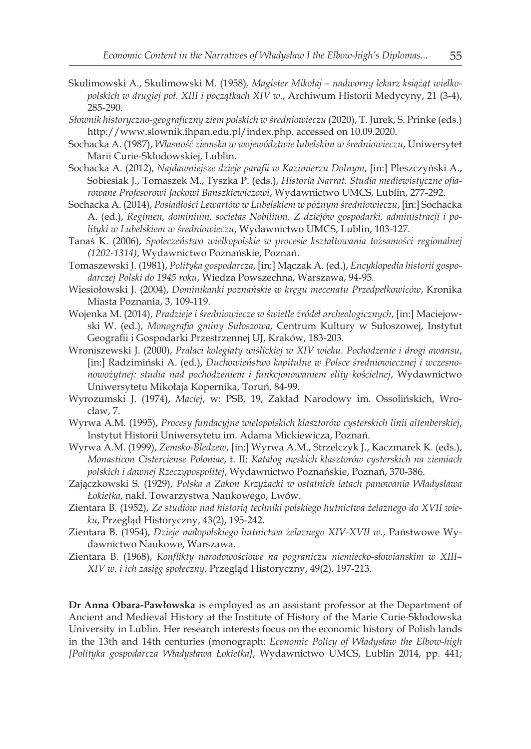- Skulimowski A., Skulimowski M. (1958)*, Magister Mikołaj nadworny lekarz książąt wielkopolskich w drugiej poł. XIII i początkach XIV w.*, Archiwum Historii Medycyny, 21 (3-4), 285-290.
- *Słownik historyczno-geograficzny ziem polskich w średniowieczu* (2020), T. Jurek, S. Prinke (eds.) http://www.slownik.ihpan.edu.pl/index.php, accessed on 10.09.2020.
- Sochacka A. (1987), *Własność ziemska w województwie lubelskim w średniowieczu*, Uniwersytet Marii Curie-Skłodowskiej, Lublin.
- Sochacka A. (2012), *Najdawniejsze dzieje parafii w Kazimierzu Dolnym*, [in:] Pleszczyński A., Sobiesiak J., Tomaszek M., Tyszka P. (eds.), *Historia Narrat. Studia mediewistyczne ofiarowane Profesorowi Jackowi Banszkiewiczowi*, Wydawnictwo UMCS, Lublin, 277-292.
- Sochacka A. (2014), *Posiadłości Lewartów w Lubelskiem w późnym średniowieczu*, [in:] Sochacka A. (ed.), *Regimen, dominium, societas Nobilium. Z dziejów gospodarki, administracji i polityki w Lubelskiem w średniowieczu*, Wydawnictwo UMCS, Lublin, 103-127.
- Tanaś K. (2006), *Społeczeństwo wielkopolskie w procesie kształtowania tożsamości regionalnej (1202-1314)*, Wydawnictwo Poznańskie, Poznań.
- Tomaszewski J. (1981), *Polityka gospodarcza*, [in:] Mączak A. (ed.), *Encyklopedia historii gospodarczej Polski do 1945 roku*, Wiedza Powszechna, Warszawa, 94-95.
- Wiesiołowski J. (2004), *Dominikanki poznańskie w kręgu mecenatu Przedpełkowiców*, Kronika Miasta Poznania, 3, 109-119.
- Wojenka M. (2014), *Pradzieje i średniowiecze w świetle źródeł archeologicznych*, [in:] Maciejowski W. (ed.), *Monografia gminy Sułoszowa*, Centrum Kultury w Sułoszowej, Instytut Geografii i Gospodarki Przestrzennej UJ, Kraków, 183-203.
- Wroniszewski J. (2000), *Prałaci kolegiaty wiślickiej w XIV wieku. Pochodzenie i drogi awansu*, [in:] Radzimiński A. (ed.), *Duchowieństwo kapitulne w Polsce średniowiecznej i wczesnonowożytnej: studia nad pochodzeniem i funkcjonowaniem elity kościelnej*, Wydawnictwo Uniwersytetu Mikołaja Kopernika, Toruń, 84-99.
- Wyrozumski J. (1974), *Maciej*, w: PSB, 19, Zakład Narodowy im. Ossolińskich, Wrocław, 7.
- Wyrwa A.M. (1995), *Procesy fundacyjne wielopolskich klasztorów cysterskich linii altenberskiej*, Instytut Historii Uniwersytetu im. Adama Mickiewicza, Poznań.
- Wyrwa A.M. (1999), *Zemsko-Bledzew*, [in:] Wyrwa A.M., Strzelczyk J., Kaczmarek K. (eds.), *Monasticon Cisterciense Poloniae*, t. II: *Katalog męskich klasztorów cysterskich na ziemiach polskich i dawnej Rzeczypospolitej*, Wydawnictwo Poznańskie, Poznań, 370-386.
- Zajączkowski S. (1929), *Polska a Zakon Krzyżacki w ostatnich latach panowania Władysława Łokietka*, nakł. Towarzystwa Naukowego, Lwów.
- Zientara B. (1952), *Ze studiów nad historią techniki polskiego hutnictwa żelaznego do XVII wieku*, Przegląd Historyczny, 43(2), 195-242.
- Zientara B. (1954), *Dzieje małopolskiego hutnictwa żelaznego XIV-XVII w.*, Państwowe Wydawnictwo Naukowe, Warszawa.
- Zientara B. (1968), *Konflikty narodowościowe na pograniczu niemiecko-słowianskim w XIII– XIV w. i ich zasięg społeczny*, Przegląd Historyczny, 49(2), 197-213.

**Dr Anna Obara-Pawłowska** is employed as an assistant professor at the Department of Ancient and Medieval History at the Institute of History of the Marie Curie-Skłodowska University in Lublin. Her research interests focus on the economic history of Polish lands in the 13th and 14th centuries (monograph: *Economic Policy of Władysław the Elbow-high [Polityka gospodarcza Władysława Łokietka]*, Wydawnictwo UMCS, Lublin 2014, pp. 441;